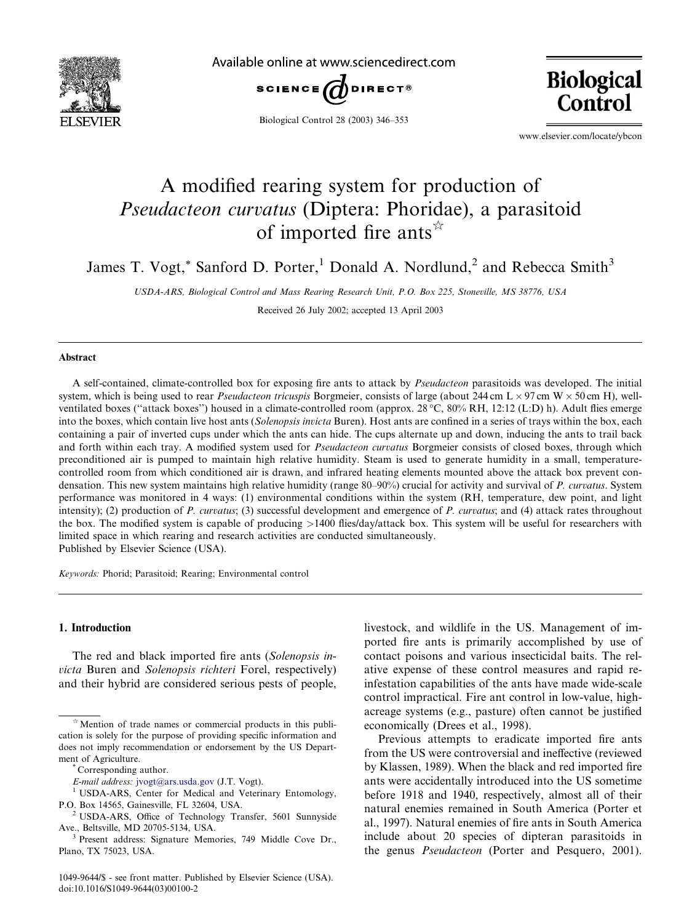

Available online at www.sciencedirect.com



Biological Control 28 (2003) 346–353

**Biological** Control

www.elsevier.com/locate/ybcon

# A modified rearing system for production of Pseudacteon curvatus (Diptera: Phoridae), a parasitoid of imported fire ants $\vec{r}$

James T. Vogt,\* Sanford D. Porter,<sup>1</sup> Donald A. Nordlund,<sup>2</sup> and Rebecca Smith<sup>3</sup>

USDA-ARS, Biological Control and Mass Rearing Research Unit, P.O. Box 225, Stoneville, MS 38776, USA

Received 26 July 2002; accepted 13 April 2003

#### Abstract

A self-contained, climate-controlled box for exposing fire ants to attack by Pseudacteon parasitoids was developed. The initial system, which is being used to rear *Pseudacteon tricuspis* Borgmeier, consists of large (about 244 cm  $L \times 97$  cm  $W \times 50$  cm H), wellventilated boxes ("attack boxes") housed in a climate-controlled room (approx.  $28\degree C$ ,  $80\%$  RH, 12:12 (L:D) h). Adult flies emerge into the boxes, which contain live host ants (*Solenopsis invicta* Buren). Host ants are confined in a series of trays within the box, each containing a pair of inverted cups under which the ants can hide. The cups alternate up and down, inducing the ants to trail back and forth within each tray. A modified system used for *Pseudacteon curvatus* Borgmeier consists of closed boxes, through which preconditioned air is pumped to maintain high relative humidity. Steam is used to generate humidity in a small, temperaturecontrolled room from which conditioned air is drawn, and infrared heating elements mounted above the attack box prevent condensation. This new system maintains high relative humidity (range 80–90%) crucial for activity and survival of P. curvatus. System performance was monitored in 4 ways: (1) environmental conditions within the system (RH, temperature, dew point, and light intensity); (2) production of P. curvatus; (3) successful development and emergence of P. curvatus; and (4) attack rates throughout the box. The modified system is capable of producing >1400 flies/day/attack box. This system will be useful for researchers with limited space in which rearing and research activities are conducted simultaneously. Published by Elsevier Science (USA).

Keywords: Phorid; Parasitoid; Rearing; Environmental control

# 1. Introduction

The red and black imported fire ants (Solenopsis invicta Buren and Solenopsis richteri Forel, respectively) and their hybrid are considered serious pests of people,

1049-9644/\$ - see front matter. Published by Elsevier Science (USA). doi:10.1016/S1049-9644(03)00100-2

livestock, and wildlife in the US. Management of imported fire ants is primarily accomplished by use of contact poisons and various insecticidal baits. The relative expense of these control measures and rapid reinfestation capabilities of the ants have made wide-scale control impractical. Fire ant control in low-value, highacreage systems (e.g., pasture) often cannot be justified economically (Drees et al., 1998).

Previous attempts to eradicate imported fire ants from the US were controversial and ineffective (reviewed by Klassen, 1989). When the black and red imported fire ants were accidentally introduced into the US sometime before 1918 and 1940, respectively, almost all of their natural enemies remained in South America (Porter et al., 1997). Natural enemies of fire ants in South America include about 20 species of dipteran parasitoids in the genus Pseudacteon (Porter and Pesquero, 2001).

 $*$  Mention of trade names or commercial products in this publication is solely for the purpose of providing specific information and does not imply recommendation or endorsement by the US Department of Agriculture.<br>
\*Corresponding author.

E-mail address: [jvogt@ars.usda.gov](mail to: jvogt@ars.usda.gov) (J.T. Vogt). <sup>1</sup> USDA-ARS, Center for Medical and Veterinary Entomology, P.O. Box 14565, Gainesville, FL 32604, USA.

<sup>2</sup> USDA-ARS, Office of Technology Transfer, 5601 Sunnyside Ave., Beltsville, MD 20705-5134, USA. <sup>3</sup> Present address: Signature Memories, 749 Middle Cove Dr.,

Plano, TX 75023, USA.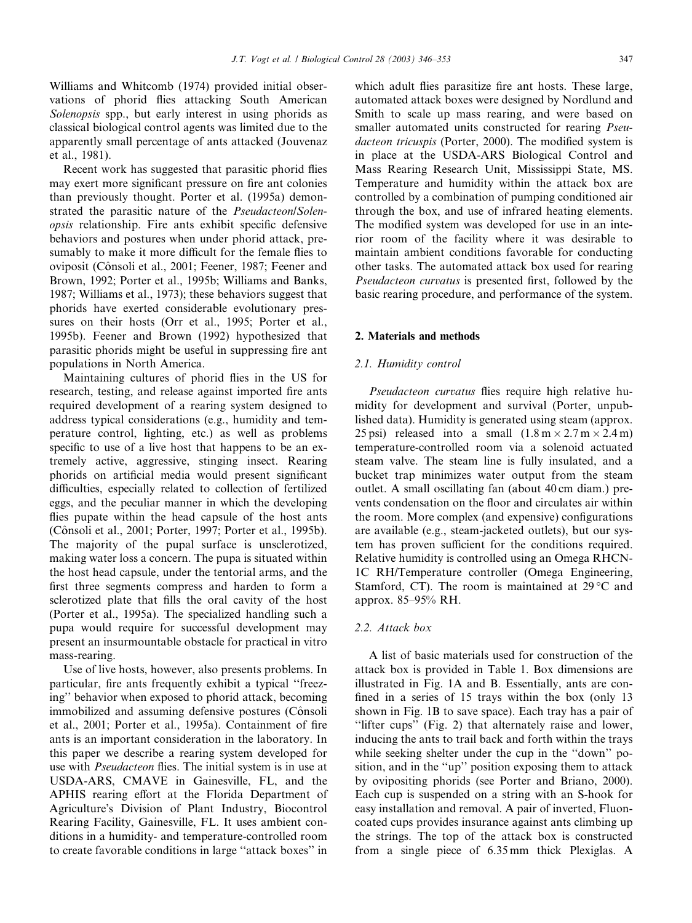Williams and Whitcomb (1974) provided initial observations of phorid flies attacking South American Solenopsis spp., but early interest in using phorids as classical biological control agents was limited due to the apparently small percentage of ants attacked (Jouvenaz et al., 1981).

Recent work has suggested that parasitic phorid flies may exert more significant pressure on fire ant colonies than previously thought. Porter et al. (1995a) demonstrated the parasitic nature of the Pseudacteon/Solenopsis relationship. Fire ants exhibit specific defensive behaviors and postures when under phorid attack, presumably to make it more difficult for the female flies to oviposit (Cônsoli et al., 2001; Feener, 1987; Feener and Brown, 1992; Porter et al., 1995b; Williams and Banks, 1987; Williams et al., 1973); these behaviors suggest that phorids have exerted considerable evolutionary pressures on their hosts (Orr et al., 1995; Porter et al., 1995b). Feener and Brown (1992) hypothesized that parasitic phorids might be useful in suppressing fire ant populations in North America.

Maintaining cultures of phorid flies in the US for research, testing, and release against imported fire ants required development of a rearing system designed to address typical considerations (e.g., humidity and temperature control, lighting, etc.) as well as problems specific to use of a live host that happens to be an extremely active, aggressive, stinging insect. Rearing phorids on artificial media would present significant difficulties, especially related to collection of fertilized eggs, and the peculiar manner in which the developing flies pupate within the head capsule of the host ants (Cônsoli et al., 2001; Porter, 1997; Porter et al., 1995b). The majority of the pupal surface is unsclerotized, making water loss a concern. The pupa is situated within the host head capsule, under the tentorial arms, and the first three segments compress and harden to form a sclerotized plate that fills the oral cavity of the host (Porter et al., 1995a). The specialized handling such a pupa would require for successful development may present an insurmountable obstacle for practical in vitro mass-rearing.

Use of live hosts, however, also presents problems. In particular, fire ants frequently exhibit a typical ''freezing'' behavior when exposed to phorid attack, becoming immobilized and assuming defensive postures (Cônsoli et al., 2001; Porter et al., 1995a). Containment of fire ants is an important consideration in the laboratory. In this paper we describe a rearing system developed for use with *Pseudacteon* flies. The initial system is in use at USDA-ARS, CMAVE in Gainesville, FL, and the APHIS rearing effort at the Florida Department of Agriculture's Division of Plant Industry, Biocontrol Rearing Facility, Gainesville, FL. It uses ambient conditions in a humidity- and temperature-controlled room to create favorable conditions in large ''attack boxes'' in

which adult flies parasitize fire ant hosts. These large, automated attack boxes were designed by Nordlund and Smith to scale up mass rearing, and were based on smaller automated units constructed for rearing *Pseu*dacteon tricuspis (Porter, 2000). The modified system is in place at the USDA-ARS Biological Control and Mass Rearing Research Unit, Mississippi State, MS. Temperature and humidity within the attack box are controlled by a combination of pumping conditioned air through the box, and use of infrared heating elements. The modified system was developed for use in an interior room of the facility where it was desirable to maintain ambient conditions favorable for conducting other tasks. The automated attack box used for rearing Pseudacteon curvatus is presented first, followed by the basic rearing procedure, and performance of the system.

# 2. Materials and methods

#### 2.1. Humidity control

Pseudacteon curvatus flies require high relative humidity for development and survival (Porter, unpublished data). Humidity is generated using steam (approx. 25 psi) released into a small  $(1.8 \text{ m} \times 2.7 \text{ m} \times 2.4 \text{ m})$ temperature-controlled room via a solenoid actuated steam valve. The steam line is fully insulated, and a bucket trap minimizes water output from the steam outlet. A small oscillating fan (about 40 cm diam.) prevents condensation on the floor and circulates air within the room. More complex (and expensive) configurations are available (e.g., steam-jacketed outlets), but our system has proven sufficient for the conditions required. Relative humidity is controlled using an Omega RHCN-1C RH/Temperature controller (Omega Engineering, Stamford, CT). The room is maintained at  $29^{\circ}$ C and approx. 85–95% RH.

# 2.2. Attack box

A list of basic materials used for construction of the attack box is provided in Table 1. Box dimensions are illustrated in Fig. 1A and B. Essentially, ants are confined in a series of 15 trays within the box (only 13 shown in Fig. 1B to save space). Each tray has a pair of "lifter cups" (Fig. 2) that alternately raise and lower, inducing the ants to trail back and forth within the trays while seeking shelter under the cup in the "down" position, and in the ''up'' position exposing them to attack by ovipositing phorids (see Porter and Briano, 2000). Each cup is suspended on a string with an S-hook for easy installation and removal. A pair of inverted, Fluoncoated cups provides insurance against ants climbing up the strings. The top of the attack box is constructed from a single piece of 6.35 mm thick Plexiglas. A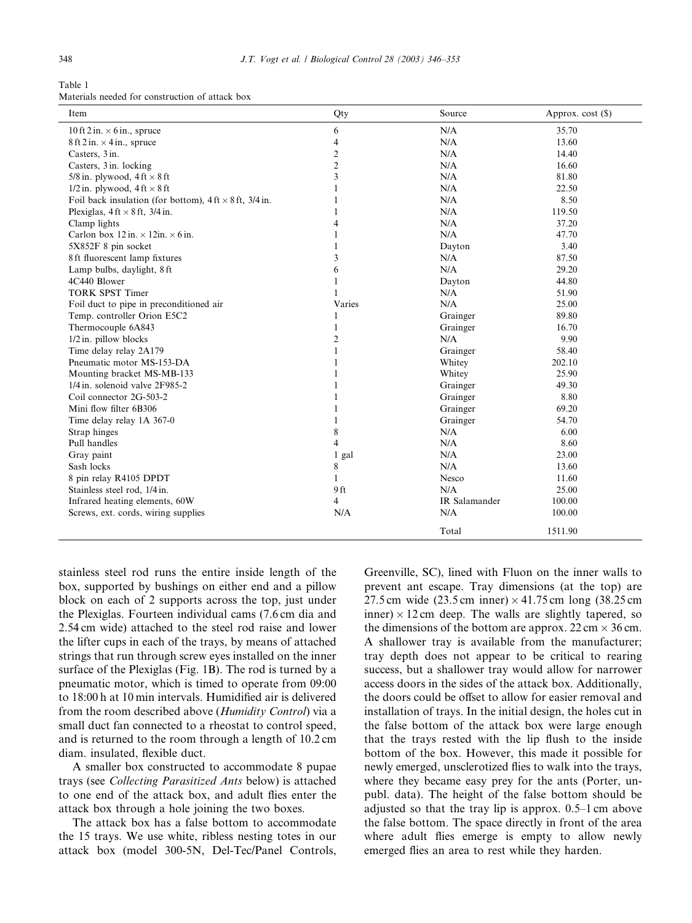Table 1 Materials needed for construction of attack box

| Item                                                                                       | Qty            | Source        | Approx. cost (\$) |
|--------------------------------------------------------------------------------------------|----------------|---------------|-------------------|
| 10 ft 2 in. $\times$ 6 in., spruce                                                         | 6              | N/A           | 35.70             |
| 8 ft 2 in. $\times$ 4 in., spruce                                                          | 4              | N/A           | 13.60             |
| Casters, 3 in.                                                                             | $\overline{c}$ | N/A           | 14.40             |
| Casters, 3 in. locking                                                                     | $\overline{c}$ | N/A           | 16.60             |
| 5/8 in. plywood, $4 \text{ ft} \times 8 \text{ ft}$                                        | 3              | N/A           | 81.80             |
| $1/2$ in. plywood, $4 \text{ ft} \times 8 \text{ ft}$                                      | 1              | N/A           | 22.50             |
| Foil back insulation (for bottom), $4 \text{ ft} \times 8 \text{ ft}$ , $3/4 \text{ in}$ . | 1              | N/A           | 8.50              |
| Plexiglas, $4 \text{ ft} \times 8 \text{ ft}$ , $3/4 \text{ in}$ .                         | 1              | N/A           | 119.50            |
| Clamp lights                                                                               | 4              | N/A           | 37.20             |
| Carlon box 12 in. $\times$ 12 in. $\times$ 6 in.                                           | 1              | N/A           | 47.70             |
| 5X852F 8 pin socket                                                                        | 1              | Dayton        | 3.40              |
| 8 ft fluorescent lamp fixtures                                                             | 3              | N/A           | 87.50             |
| Lamp bulbs, daylight, 8 ft                                                                 | 6              | N/A           | 29.20             |
| 4C440 Blower                                                                               |                | Dayton        | 44.80             |
| <b>TORK SPST Timer</b>                                                                     | 1              | N/A           | 51.90             |
| Foil duct to pipe in preconditioned air                                                    | Varies         | N/A           | 25.00             |
| Temp. controller Orion E5C2                                                                | 1              | Grainger      | 89.80             |
| Thermocouple 6A843                                                                         | 1              | Grainger      | 16.70             |
| 1/2 in. pillow blocks                                                                      | 2              | N/A           | 9.90              |
| Time delay relay 2A179                                                                     | 1              | Grainger      | 58.40             |
| Pneumatic motor MS-153-DA                                                                  | 1              | Whitey        | 202.10            |
| Mounting bracket MS-MB-133                                                                 |                | Whitey        | 25.90             |
| 1/4 in. solenoid valve 2F985-2                                                             |                | Grainger      | 49.30             |
| Coil connector 2G-503-2                                                                    |                | Grainger      | 8.80              |
| Mini flow filter 6B306                                                                     |                | Grainger      | 69.20             |
| Time delay relay 1A 367-0                                                                  |                | Grainger      | 54.70             |
| Strap hinges                                                                               | 8              | N/A           | 6.00              |
| Pull handles                                                                               | 4              | N/A           | 8.60              |
| Gray paint                                                                                 | 1 gal          | N/A           | 23.00             |
| Sash locks                                                                                 | 8              | N/A           | 13.60             |
| 8 pin relay R4105 DPDT                                                                     | $\mathbf{1}$   | Nesco         | 11.60             |
| Stainless steel rod, 1/4 in.                                                               | 9 ft           | N/A           | 25.00             |
| Infrared heating elements, 60W                                                             | 4              | IR Salamander | 100.00            |
| Screws, ext. cords, wiring supplies                                                        | N/A            | N/A           | 100.00            |
|                                                                                            |                | Total         | 1511.90           |

stainless steel rod runs the entire inside length of the box, supported by bushings on either end and a pillow block on each of 2 supports across the top, just under the Plexiglas. Fourteen individual cams (7.6 cm dia and 2.54 cm wide) attached to the steel rod raise and lower the lifter cups in each of the trays, by means of attached strings that run through screw eyes installed on the inner surface of the Plexiglas (Fig. 1B). The rod is turned by a pneumatic motor, which is timed to operate from 09:00 to 18:00 h at 10 min intervals. Humidified air is delivered from the room described above (Humidity Control) via a small duct fan connected to a rheostat to control speed, and is returned to the room through a length of 10.2 cm diam. insulated, flexible duct.

A smaller box constructed to accommodate 8 pupae trays (see Collecting Parasitized Ants below) is attached to one end of the attack box, and adult flies enter the attack box through a hole joining the two boxes.

The attack box has a false bottom to accommodate the 15 trays. We use white, ribless nesting totes in our attack box (model 300-5N, Del-Tec/Panel Controls, Greenville, SC), lined with Fluon on the inner walls to prevent ant escape. Tray dimensions (at the top) are 27.5 cm wide (23.5 cm inner)  $\times$  41.75 cm long (38.25 cm inner)  $\times$  12 cm deep. The walls are slightly tapered, so the dimensions of the bottom are approx.  $22 \text{ cm} \times 36 \text{ cm}$ . A shallower tray is available from the manufacturer; tray depth does not appear to be critical to rearing success, but a shallower tray would allow for narrower access doors in the sides of the attack box. Additionally, the doors could be offset to allow for easier removal and installation of trays. In the initial design, the holes cut in the false bottom of the attack box were large enough that the trays rested with the lip flush to the inside bottom of the box. However, this made it possible for newly emerged, unsclerotized flies to walk into the trays, where they became easy prey for the ants (Porter, unpubl. data). The height of the false bottom should be adjusted so that the tray lip is approx. 0.5–1 cm above the false bottom. The space directly in front of the area where adult flies emerge is empty to allow newly emerged flies an area to rest while they harden.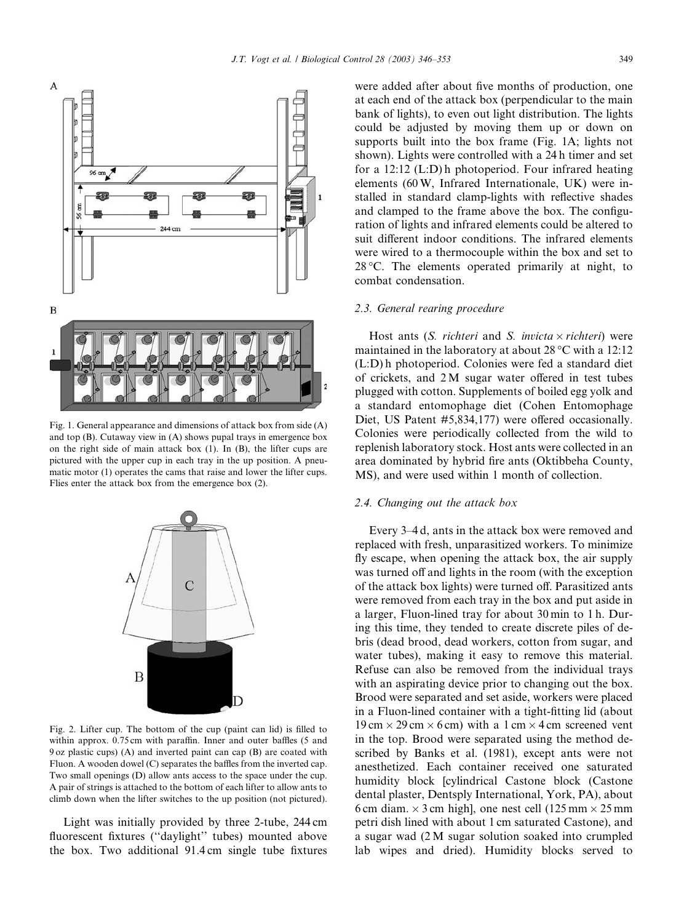

Fig. 1. General appearance and dimensions of attack box from side (A) and top (B). Cutaway view in (A) shows pupal trays in emergence box on the right side of main attack box (1). In (B), the lifter cups are pictured with the upper cup in each tray in the up position. A pneumatic motor (1) operates the cams that raise and lower the lifter cups. Flies enter the attack box from the emergence box (2).



Fig. 2. Lifter cup. The bottom of the cup (paint can lid) is filled to within approx. 0.75 cm with paraffin. Inner and outer baffles (5 and 9 oz plastic cups) (A) and inverted paint can cap (B) are coated with Fluon. A wooden dowel (C) separates the baffles from the inverted cap. Two small openings (D) allow ants access to the space under the cup. A pair of strings is attached to the bottom of each lifter to allow ants to climb down when the lifter switches to the up position (not pictured).

Light was initially provided by three 2-tube, 244 cm fluorescent fixtures (''daylight'' tubes) mounted above the box. Two additional 91.4 cm single tube fixtures were added after about five months of production, one at each end of the attack box (perpendicular to the main bank of lights), to even out light distribution. The lights could be adjusted by moving them up or down on supports built into the box frame (Fig. 1A; lights not shown). Lights were controlled with a 24 h timer and set for a 12:12 (L:D) h photoperiod. Four infrared heating elements (60 W, Infrared Internationale, UK) were installed in standard clamp-lights with reflective shades and clamped to the frame above the box. The configuration of lights and infrared elements could be altered to suit different indoor conditions. The infrared elements were wired to a thermocouple within the box and set to  $28^{\circ}$ C. The elements operated primarily at night, to combat condensation.

## 2.3. General rearing procedure

Host ants (S. richteri and S. invicta  $\times$  richteri) were maintained in the laboratory at about  $28^{\circ}$ C with a 12:12 (L:D) h photoperiod. Colonies were fed a standard diet of crickets, and 2 M sugar water offered in test tubes plugged with cotton. Supplements of boiled egg yolk and a standard entomophage diet (Cohen Entomophage Diet, US Patent #5,834,177) were offered occasionally. Colonies were periodically collected from the wild to replenish laboratory stock. Host ants were collected in an area dominated by hybrid fire ants (Oktibbeha County, MS), and were used within 1 month of collection.

## 2.4. Changing out the attack box

Every 3–4 d, ants in the attack box were removed and replaced with fresh, unparasitized workers. To minimize fly escape, when opening the attack box, the air supply was turned off and lights in the room (with the exception of the attack box lights) were turned off. Parasitized ants were removed from each tray in the box and put aside in a larger, Fluon-lined tray for about 30 min to 1 h. During this time, they tended to create discrete piles of debris (dead brood, dead workers, cotton from sugar, and water tubes), making it easy to remove this material. Refuse can also be removed from the individual trays with an aspirating device prior to changing out the box. Brood were separated and set aside, workers were placed in a Fluon-lined container with a tight-fitting lid (about  $19 \text{ cm} \times 29 \text{ cm} \times 6 \text{ cm}$ ) with a 1 cm  $\times$  4 cm screened vent in the top. Brood were separated using the method described by Banks et al. (1981), except ants were not anesthetized. Each container received one saturated humidity block [cylindrical Castone block (Castone dental plaster, Dentsply International, York, PA), about 6 cm diam.  $\times$  3 cm high], one nest cell (125 mm  $\times$  25 mm petri dish lined with about 1 cm saturated Castone), and a sugar wad (2 M sugar solution soaked into crumpled lab wipes and dried). Humidity blocks served to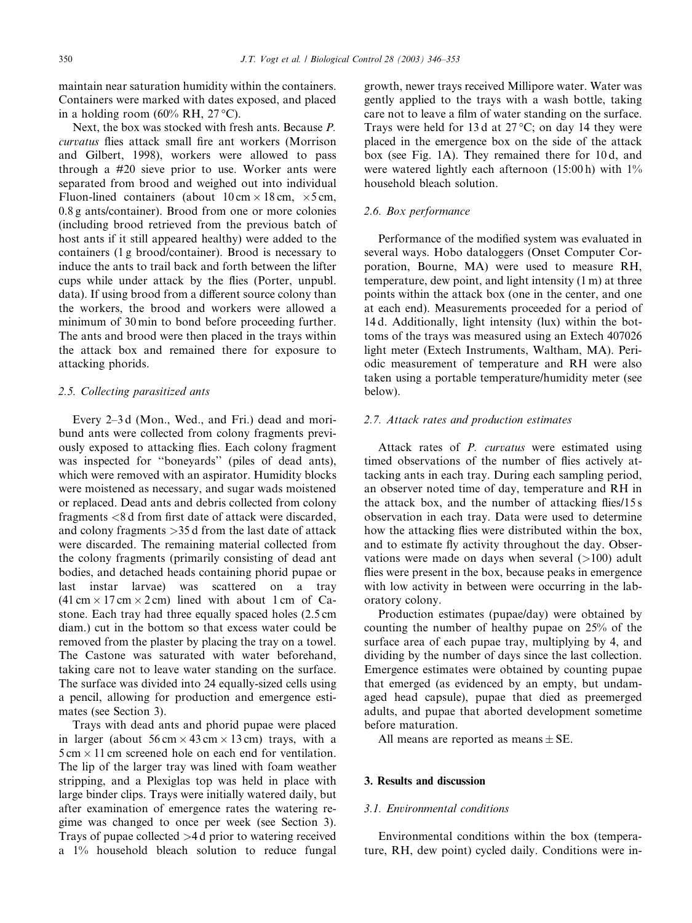maintain near saturation humidity within the containers. Containers were marked with dates exposed, and placed in a holding room  $(60\% \text{ RH}, 27 \degree \text{C})$ .

Next, the box was stocked with fresh ants. Because P. curvatus flies attack small fire ant workers (Morrison and Gilbert, 1998), workers were allowed to pass through a #20 sieve prior to use. Worker ants were separated from brood and weighed out into individual Fluon-lined containers (about  $10 \text{ cm} \times 18 \text{ cm}$ ,  $\times 5 \text{ cm}$ , 0.8 g ants/container). Brood from one or more colonies (including brood retrieved from the previous batch of host ants if it still appeared healthy) were added to the containers (1 g brood/container). Brood is necessary to induce the ants to trail back and forth between the lifter cups while under attack by the flies (Porter, unpubl. data). If using brood from a different source colony than the workers, the brood and workers were allowed a minimum of 30 min to bond before proceeding further. The ants and brood were then placed in the trays within the attack box and remained there for exposure to attacking phorids.

## 2.5. Collecting parasitized ants

Every 2–3 d (Mon., Wed., and Fri.) dead and moribund ants were collected from colony fragments previously exposed to attacking flies. Each colony fragment was inspected for ''boneyards'' (piles of dead ants), which were removed with an aspirator. Humidity blocks were moistened as necessary, and sugar wads moistened or replaced. Dead ants and debris collected from colony fragments <8 d from first date of attack were discarded, and colony fragments >35 d from the last date of attack were discarded. The remaining material collected from the colony fragments (primarily consisting of dead ant bodies, and detached heads containing phorid pupae or last instar larvae) was scattered on a tray  $(41 \text{ cm} \times 17 \text{ cm} \times 2 \text{ cm})$  lined with about 1 cm of Castone. Each tray had three equally spaced holes (2.5 cm diam.) cut in the bottom so that excess water could be removed from the plaster by placing the tray on a towel. The Castone was saturated with water beforehand, taking care not to leave water standing on the surface. The surface was divided into 24 equally-sized cells using a pencil, allowing for production and emergence estimates (see Section 3).

Trays with dead ants and phorid pupae were placed in larger (about  $56 \text{ cm} \times 43 \text{ cm} \times 13 \text{ cm}$ ) trays, with a  $5 \text{ cm} \times 11 \text{ cm}$  screened hole on each end for ventilation. The lip of the larger tray was lined with foam weather stripping, and a Plexiglas top was held in place with large binder clips. Trays were initially watered daily, but after examination of emergence rates the watering regime was changed to once per week (see Section 3). Trays of pupae collected >4 d prior to watering received a 1% household bleach solution to reduce fungal growth, newer trays received Millipore water. Water was gently applied to the trays with a wash bottle, taking care not to leave a film of water standing on the surface. Trays were held for 13 d at  $27^{\circ}$ C; on day 14 they were placed in the emergence box on the side of the attack box (see Fig. 1A). They remained there for 10 d, and were watered lightly each afternoon  $(15:00 h)$  with  $1\%$ household bleach solution.

#### 2.6. Box performance

Performance of the modified system was evaluated in several ways. Hobo dataloggers (Onset Computer Corporation, Bourne, MA) were used to measure RH, temperature, dew point, and light intensity (1 m) at three points within the attack box (one in the center, and one at each end). Measurements proceeded for a period of 14 d. Additionally, light intensity (lux) within the bottoms of the trays was measured using an Extech 407026 light meter (Extech Instruments, Waltham, MA). Periodic measurement of temperature and RH were also taken using a portable temperature/humidity meter (see below).

## 2.7. Attack rates and production estimates

Attack rates of P. curvatus were estimated using timed observations of the number of flies actively attacking ants in each tray. During each sampling period, an observer noted time of day, temperature and RH in the attack box, and the number of attacking flies/15 s observation in each tray. Data were used to determine how the attacking flies were distributed within the box, and to estimate fly activity throughout the day. Observations were made on days when several  $(>100)$  adult flies were present in the box, because peaks in emergence with low activity in between were occurring in the laboratory colony.

Production estimates (pupae/day) were obtained by counting the number of healthy pupae on 25% of the surface area of each pupae tray, multiplying by 4, and dividing by the number of days since the last collection. Emergence estimates were obtained by counting pupae that emerged (as evidenced by an empty, but undamaged head capsule), pupae that died as preemerged adults, and pupae that aborted development sometime before maturation.

All means are reported as means  $\pm$  SE.

## 3. Results and discussion

#### 3.1. Environmental conditions

Environmental conditions within the box (temperature, RH, dew point) cycled daily. Conditions were in-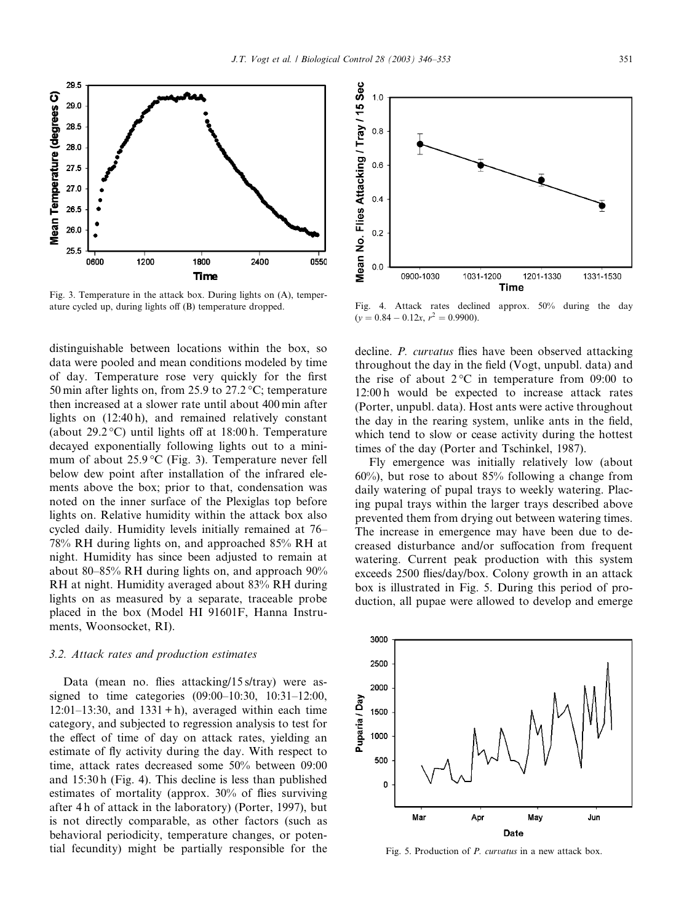

Fig. 3. Temperature in the attack box. During lights on (A), temperature cycled up, during lights off (B) temperature dropped. Fig. 4. Attack rates declined approx. 50% during the day

distinguishable between locations within the box, so data were pooled and mean conditions modeled by time of day. Temperature rose very quickly for the first 50 min after lights on, from 25.9 to 27.2 °C; temperature then increased at a slower rate until about 400 min after lights on (12:40 h), and remained relatively constant (about  $29.2$  °C) until lights off at 18:00 h. Temperature decayed exponentially following lights out to a minimum of about  $25.9 \degree C$  (Fig. 3). Temperature never fell below dew point after installation of the infrared elements above the box; prior to that, condensation was noted on the inner surface of the Plexiglas top before lights on. Relative humidity within the attack box also cycled daily. Humidity levels initially remained at 76– 78% RH during lights on, and approached 85% RH at night. Humidity has since been adjusted to remain at about 80–85% RH during lights on, and approach 90% RH at night. Humidity averaged about 83% RH during lights on as measured by a separate, traceable probe placed in the box (Model HI 91601F, Hanna Instruments, Woonsocket, RI).

# 3.2. Attack rates and production estimates

Data (mean no. flies attacking/15 s/tray) were assigned to time categories (09:00–10:30, 10:31–12:00,  $12:01-13:30$ , and  $1331 + h$ ), averaged within each time category, and subjected to regression analysis to test for the effect of time of day on attack rates, yielding an estimate of fly activity during the day. With respect to time, attack rates decreased some 50% between 09:00 and 15:30 h (Fig. 4). This decline is less than published estimates of mortality (approx. 30% of flies surviving after 4 h of attack in the laboratory) (Porter, 1997), but is not directly comparable, as other factors (such as behavioral periodicity, temperature changes, or potential fecundity) might be partially responsible for the



 $(y = 0.84 - 0.12x, r^2 = 0.9900).$ 

decline. *P. curvatus* flies have been observed attacking throughout the day in the field (Vogt, unpubl. data) and the rise of about  $2^{\circ}$ C in temperature from 09:00 to 12:00 h would be expected to increase attack rates (Porter, unpubl. data). Host ants were active throughout the day in the rearing system, unlike ants in the field, which tend to slow or cease activity during the hottest times of the day (Porter and Tschinkel, 1987).

Fly emergence was initially relatively low (about 60%), but rose to about 85% following a change from daily watering of pupal trays to weekly watering. Placing pupal trays within the larger trays described above prevented them from drying out between watering times. The increase in emergence may have been due to decreased disturbance and/or suffocation from frequent watering. Current peak production with this system exceeds 2500 flies/day/box. Colony growth in an attack box is illustrated in Fig. 5. During this period of production, all pupae were allowed to develop and emerge



Fig. 5. Production of P. curvatus in a new attack box.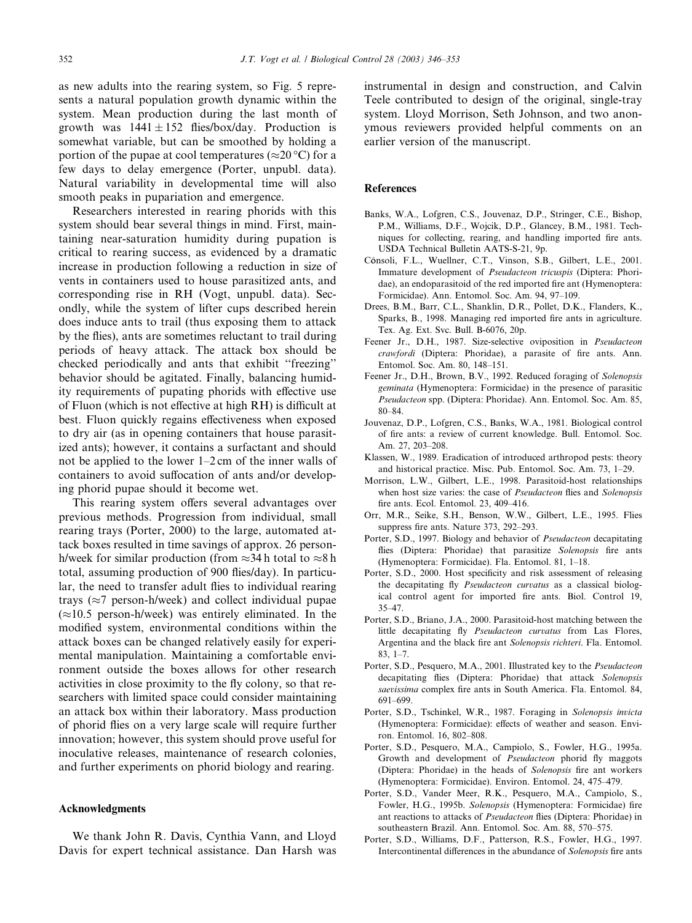as new adults into the rearing system, so Fig. 5 represents a natural population growth dynamic within the system. Mean production during the last month of growth was  $1441 \pm 152$  flies/box/day. Production is somewhat variable, but can be smoothed by holding a portion of the pupae at cool temperatures ( $\approx$ 20 °C) for a few days to delay emergence (Porter, unpubl. data). Natural variability in developmental time will also smooth peaks in pupariation and emergence.

Researchers interested in rearing phorids with this system should bear several things in mind. First, maintaining near-saturation humidity during pupation is critical to rearing success, as evidenced by a dramatic increase in production following a reduction in size of vents in containers used to house parasitized ants, and corresponding rise in RH (Vogt, unpubl. data). Secondly, while the system of lifter cups described herein does induce ants to trail (thus exposing them to attack by the flies), ants are sometimes reluctant to trail during periods of heavy attack. The attack box should be checked periodically and ants that exhibit ''freezing'' behavior should be agitated. Finally, balancing humidity requirements of pupating phorids with effective use of Fluon (which is not effective at high RH) is difficult at best. Fluon quickly regains effectiveness when exposed to dry air (as in opening containers that house parasitized ants); however, it contains a surfactant and should not be applied to the lower 1–2 cm of the inner walls of containers to avoid suffocation of ants and/or developing phorid pupae should it become wet.

This rearing system offers several advantages over previous methods. Progression from individual, small rearing trays (Porter, 2000) to the large, automated attack boxes resulted in time savings of approx. 26 personh/week for similar production (from  $\approx$ 34 h total to  $\approx$ 8 h total, assuming production of 900 flies/day). In particular, the need to transfer adult flies to individual rearing trays ( $\approx$ 7 person-h/week) and collect individual pupae  $(\approx 10.5$  person-h/week) was entirely eliminated. In the modified system, environmental conditions within the attack boxes can be changed relatively easily for experimental manipulation. Maintaining a comfortable environment outside the boxes allows for other research activities in close proximity to the fly colony, so that researchers with limited space could consider maintaining an attack box within their laboratory. Mass production of phorid flies on a very large scale will require further innovation; however, this system should prove useful for inoculative releases, maintenance of research colonies, and further experiments on phorid biology and rearing.

#### Acknowledgments

We thank John R. Davis, Cynthia Vann, and Lloyd Davis for expert technical assistance. Dan Harsh was instrumental in design and construction, and Calvin Teele contributed to design of the original, single-tray system. Lloyd Morrison, Seth Johnson, and two anonymous reviewers provided helpful comments on an earlier version of the manuscript.

## References

- Banks, W.A., Lofgren, C.S., Jouvenaz, D.P., Stringer, C.E., Bishop, P.M., Williams, D.F., Wojcik, D.P., Glancey, B.M., 1981. Techniques for collecting, rearing, and handling imported fire ants. USDA Technical Bulletin AATS-S-21, 9p.
- Cônsoli, F.L., Wuellner, C.T., Vinson, S.B., Gilbert, L.E., 2001. Immature development of Pseudacteon tricuspis (Diptera: Phoridae), an endoparasitoid of the red imported fire ant (Hymenoptera: Formicidae). Ann. Entomol. Soc. Am. 94, 97–109.
- Drees, B.M., Barr, C.L., Shanklin, D.R., Pollet, D.K., Flanders, K., Sparks, B., 1998. Managing red imported fire ants in agriculture. Tex. Ag. Ext. Svc. Bull. B-6076, 20p.
- Feener Jr., D.H., 1987. Size-selective oviposition in Pseudacteon crawfordi (Diptera: Phoridae), a parasite of fire ants. Ann. Entomol. Soc. Am. 80, 148–151.
- Feener Jr., D.H., Brown, B.V., 1992. Reduced foraging of Solenopsis geminata (Hymenoptera: Formicidae) in the presence of parasitic Pseudacteon spp. (Diptera: Phoridae). Ann. Entomol. Soc. Am. 85, 80–84.
- Jouvenaz, D.P., Lofgren, C.S., Banks, W.A., 1981. Biological control of fire ants: a review of current knowledge. Bull. Entomol. Soc. Am. 27, 203–208.
- Klassen, W., 1989. Eradication of introduced arthropod pests: theory and historical practice. Misc. Pub. Entomol. Soc. Am. 73, 1–29.
- Morrison, L.W., Gilbert, L.E., 1998. Parasitoid-host relationships when host size varies: the case of *Pseudacteon* flies and *Solenopsis* fire ants. Ecol. Entomol. 23, 409–416.
- Orr, M.R., Seike, S.H., Benson, W.W., Gilbert, L.E., 1995. Flies suppress fire ants. Nature 373, 292–293.
- Porter, S.D., 1997. Biology and behavior of *Pseudacteon* decapitating flies (Diptera: Phoridae) that parasitize Solenopsis fire ants (Hymenoptera: Formicidae). Fla. Entomol. 81, 1–18.
- Porter, S.D., 2000. Host specificity and risk assessment of releasing the decapitating fly Pseudacteon curvatus as a classical biological control agent for imported fire ants. Biol. Control 19, 35–47.
- Porter, S.D., Briano, J.A., 2000. Parasitoid-host matching between the little decapitating fly Pseudacteon curvatus from Las Flores. Argentina and the black fire ant Solenopsis richteri. Fla. Entomol. 83, 1–7.
- Porter, S.D., Pesquero, M.A., 2001. Illustrated key to the Pseudacteon decapitating flies (Diptera: Phoridae) that attack Solenopsis saevissima complex fire ants in South America. Fla. Entomol. 84, 691–699.
- Porter, S.D., Tschinkel, W.R., 1987. Foraging in Solenopsis invicta (Hymenoptera: Formicidae): effects of weather and season. Environ. Entomol. 16, 802–808.
- Porter, S.D., Pesquero, M.A., Campiolo, S., Fowler, H.G., 1995a. Growth and development of Pseudacteon phorid fly maggots (Diptera: Phoridae) in the heads of Solenopsis fire ant workers (Hymenoptera: Formicidae). Environ. Entomol. 24, 475–479.
- Porter, S.D., Vander Meer, R.K., Pesquero, M.A., Campiolo, S., Fowler, H.G., 1995b. Solenopsis (Hymenoptera: Formicidae) fire ant reactions to attacks of Pseudacteon flies (Diptera: Phoridae) in southeastern Brazil. Ann. Entomol. Soc. Am. 88, 570–575.
- Porter, S.D., Williams, D.F., Patterson, R.S., Fowler, H.G., 1997. Intercontinental differences in the abundance of Solenopsis fire ants